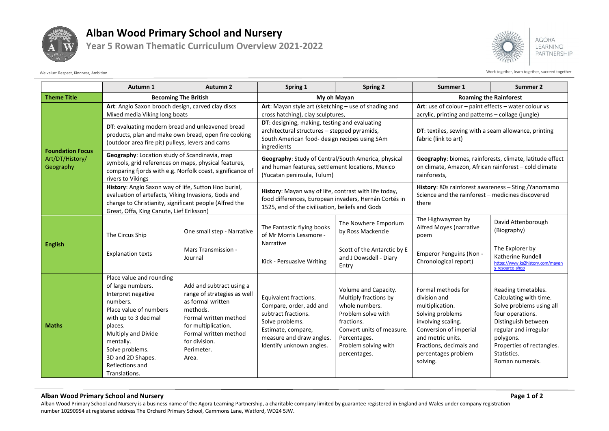

## **Alban Wood Primary School and Nursery**

**Year 5 Rowan Thematic Curriculum Overview 2021-2022**



Work together, learn together, learn together, succeed together

|                                                         | Autumn 1                                                                                                                                                                                                                                                     | <b>Autumn 2</b>                                                                                                                                                                                           | Spring 1                                                                                                                                                                 | <b>Spring 2</b>                                                                                                                                                                          | Summer 1                                                                                                                                                                                                     | Summer 2                                                                                                                                                                                                                  |
|---------------------------------------------------------|--------------------------------------------------------------------------------------------------------------------------------------------------------------------------------------------------------------------------------------------------------------|-----------------------------------------------------------------------------------------------------------------------------------------------------------------------------------------------------------|--------------------------------------------------------------------------------------------------------------------------------------------------------------------------|------------------------------------------------------------------------------------------------------------------------------------------------------------------------------------------|--------------------------------------------------------------------------------------------------------------------------------------------------------------------------------------------------------------|---------------------------------------------------------------------------------------------------------------------------------------------------------------------------------------------------------------------------|
| <b>Theme Title</b>                                      | <b>Becoming The British</b>                                                                                                                                                                                                                                  |                                                                                                                                                                                                           | My oh Mayan                                                                                                                                                              |                                                                                                                                                                                          | <b>Roaming the Rainforest</b>                                                                                                                                                                                |                                                                                                                                                                                                                           |
| <b>Foundation Focus</b><br>Art/DT/History/<br>Geography | Art: Anglo Saxon brooch design, carved clay discs                                                                                                                                                                                                            |                                                                                                                                                                                                           | Art: Mayan style art (sketching - use of shading and                                                                                                                     |                                                                                                                                                                                          | Art: use of colour $-$ paint effects $-$ water colour vs                                                                                                                                                     |                                                                                                                                                                                                                           |
|                                                         | Mixed media Viking long boats                                                                                                                                                                                                                                |                                                                                                                                                                                                           | cross hatching), clay sculptures,                                                                                                                                        |                                                                                                                                                                                          | acrylic, printing and patterns - collage (jungle)                                                                                                                                                            |                                                                                                                                                                                                                           |
|                                                         | DT: evaluating modern bread and unleavened bread<br>products, plan and make own bread, open fire cooking<br>(outdoor area fire pit) pulleys, levers and cams                                                                                                 |                                                                                                                                                                                                           | DT: designing, making, testing and evaluating<br>architectural structures - stepped pyramids,<br>South American food- design recipes using SAm<br>ingredients            |                                                                                                                                                                                          | DT: textiles, sewing with a seam allowance, printing<br>fabric (link to art)                                                                                                                                 |                                                                                                                                                                                                                           |
|                                                         | Geography: Location study of Scandinavia, map<br>symbols, grid references on maps, physical features,<br>comparing fjords with e.g. Norfolk coast, significance of<br>rivers to Vikings                                                                      |                                                                                                                                                                                                           | Geography: Study of Central/South America, physical<br>and human features, settlement locations, Mexico<br>(Yucatan peninsula, Tulum)                                    |                                                                                                                                                                                          | Geography: biomes, rainforests, climate, latitude effect<br>on climate, Amazon, African rainforest - cold climate<br>rainforests.                                                                            |                                                                                                                                                                                                                           |
|                                                         | History: Anglo Saxon way of life, Sutton Hoo burial,<br>evaluation of artefacts, Viking Invasions, Gods and<br>change to Christianity, significant people (Alfred the<br>Great, Offa, King Canute, Lief Eriksson)                                            |                                                                                                                                                                                                           | History: Mayan way of life, contrast with life today,<br>food differences, European invaders, Hernán Cortés in<br>1525, end of the civilisation, beliefs and Gods        |                                                                                                                                                                                          | History: 80s rainforest awareness - Sting / Yanomamo<br>Science and the rainforest - medicines discovered<br>there                                                                                           |                                                                                                                                                                                                                           |
| <b>English</b>                                          | The Circus Ship                                                                                                                                                                                                                                              | One small step - Narrative                                                                                                                                                                                | The Fantastic flying books<br>of Mr Morris Lessmore -<br>Narrative<br>Kick - Persuasive Writing                                                                          | The Nowhere Emporium<br>by Ross Mackenzie                                                                                                                                                | The Highwayman by<br>Alfred Moyes (narrative<br>poem                                                                                                                                                         | David Attenborough<br>(Biography)                                                                                                                                                                                         |
|                                                         | <b>Explanation texts</b>                                                                                                                                                                                                                                     | Mars Transmission -<br>Journal                                                                                                                                                                            |                                                                                                                                                                          | Scott of the Antarctic by E<br>and J Dowsdell - Diary<br>Entry                                                                                                                           | Emperor Penguins (Non -<br>Chronological report)                                                                                                                                                             | The Explorer by<br>Katherine Rundell<br>https://www.ks2history.com/mayan<br>s-resource-shop                                                                                                                               |
| <b>Maths</b>                                            | Place value and rounding<br>of large numbers.<br>Interpret negative<br>numbers.<br>Place value of numbers<br>with up to 3 decimal<br>places.<br>Multiply and Divide<br>mentally.<br>Solve problems.<br>3D and 2D Shapes.<br>Reflections and<br>Translations. | Add and subtract using a<br>range of strategies as well<br>as formal written<br>methods.<br>Formal written method<br>for multiplication.<br>Formal written method<br>for division.<br>Perimeter.<br>Area. | Equivalent fractions.<br>Compare, order, add and<br>subtract fractions.<br>Solve problems.<br>Estimate, compare,<br>measure and draw angles.<br>Identify unknown angles. | Volume and Capacity.<br>Multiply fractions by<br>whole numbers.<br>Problem solve with<br>fractions.<br>Convert units of measure.<br>Percentages.<br>Problem solving with<br>percentages. | Formal methods for<br>division and<br>multiplication.<br>Solving problems<br>involving scaling.<br>Conversion of imperial<br>and metric units.<br>Fractions, decimals and<br>percentages problem<br>solving. | Reading timetables.<br>Calculating with time.<br>Solve problems using all<br>four operations.<br>Distinguish between<br>regular and irregular<br>polygons.<br>Properties of rectangles.<br>Statistics.<br>Roman numerals. |

Alban Wood Primary School and Nursery is a business name of the Agora Learning Partnership, a charitable company limited by guarantee registered in England and Wales under company registration number 10290954 at registered address The Orchard Primary School, Gammons Lane, Watford, WD24 5JW.